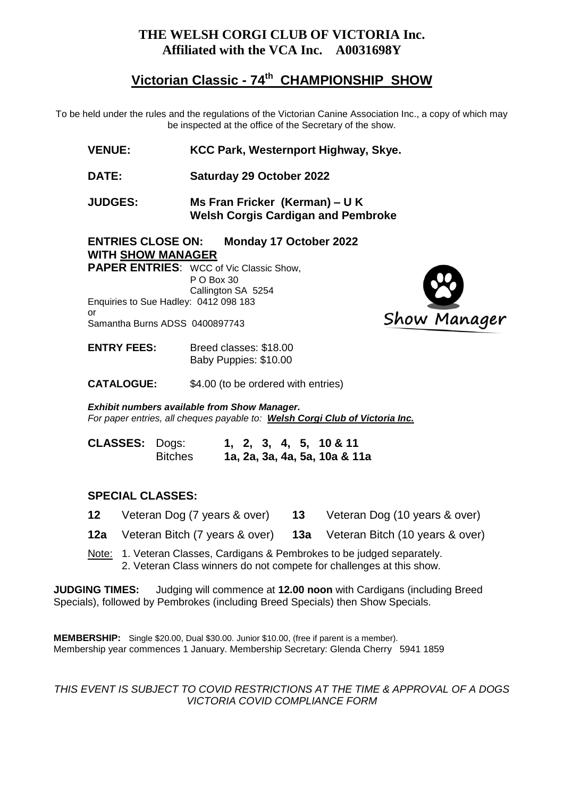## **THE WELSH CORGI CLUB OF VICTORIA Inc. Affiliated with the VCA Inc. A0031698Y**

# **Victorian Classic - 74 th CHAMPIONSHIP SHOW**

To be held under the rules and the regulations of the Victorian Canine Association Inc., a copy of which may be inspected at the office of the Secretary of the show.

- **VENUE: KCC Park, Westernport Highway, Skye.**
- **DATE: Saturday 29 October 2022**
- **JUDGES: Ms Fran Fricker (Kerman) – U K Welsh Corgis Cardigan and Pembroke**

# **ENTRIES CLOSE ON: Monday 17 October 2022 WITH SHOW MANAGER**

**PAPER ENTRIES**: WCC of Vic Classic Show, P O Box 30 Callington SA 5254 Enquiries to Sue Hadley: 0412 098 183 or Samantha Burns ADSS 0400897743

Show Manager

**ENTRY FEES:** Breed classes: \$18.00 Baby Puppies: \$10.00

**CATALOGUE:** \$4.00 (to be ordered with entries)

*Exhibit numbers available from Show Manager. For paper entries, all cheques payable to: Welsh Corgi Club of Victoria Inc.*

| <b>CLASSES: Dogs:</b> |                |  |  | $1, 2, 3, 4, 5, 10 \& 11$     |
|-----------------------|----------------|--|--|-------------------------------|
|                       | <b>Bitches</b> |  |  | 1a, 2a, 3a, 4a, 5a, 10a & 11a |

#### **SPECIAL CLASSES:**

- **12** Veteran Dog (7 years & over) **13** Veteran Dog (10 years & over)
- **12a** Veteran Bitch (7 years & over) **13a** Veteran Bitch (10 years & over)
- Note: 1. Veteran Classes, Cardigans & Pembrokes to be judged separately. 2. Veteran Class winners do not compete for challenges at this show.

**JUDGING TIMES:** Judging will commence at **12.00 noon** with Cardigans (including Breed Specials), followed by Pembrokes (including Breed Specials) then Show Specials.

**MEMBERSHIP:** Single \$20.00, Dual \$30.00. Junior \$10.00, (free if parent is a member). Membership year commences 1 January. Membership Secretary: Glenda Cherry 5941 1859

*THIS EVENT IS SUBJECT TO COVID RESTRICTIONS AT THE TIME & APPROVAL OF A DOGS VICTORIA COVID COMPLIANCE FORM*